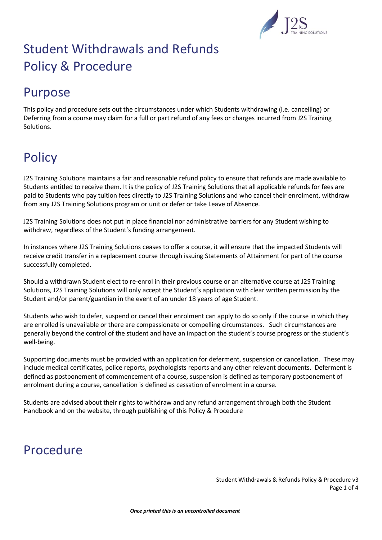

## Purpose

This policy and procedure sets out the circumstances under which Students withdrawing (i.e. cancelling) or Deferring from a course may claim for a full or part refund of any fees or charges incurred from J2S Training Solutions.

## **Policy**

J2S Training Solutions maintains a fair and reasonable refund policy to ensure that refunds are made available to Students entitled to receive them. It is the policy of J2S Training Solutions that all applicable refunds for fees are paid to Students who pay tuition fees directly to J2S Training Solutions and who cancel their enrolment, withdraw from any J2S Training Solutions program or unit or defer or take Leave of Absence.

J2S Training Solutions does not put in place financial nor administrative barriers for any Student wishing to withdraw, regardless of the Student's funding arrangement.

In instances where J2S Training Solutions ceases to offer a course, it will ensure that the impacted Students will receive credit transfer in a replacement course through issuing Statements of Attainment for part of the course successfully completed.

Should a withdrawn Student elect to re-enrol in their previous course or an alternative course at J2S Training Solutions, J2S Training Solutions will only accept the Student's application with clear written permission by the Student and/or parent/guardian in the event of an under 18 years of age Student.

Students who wish to defer, suspend or cancel their enrolment can apply to do so only if the course in which they are enrolled is unavailable or there are compassionate or compelling circumstances. Such circumstances are generally beyond the control of the student and have an impact on the student's course progress or the student's well-being.

Supporting documents must be provided with an application for deferment, suspension or cancellation. These may include medical certificates, police reports, psychologists reports and any other relevant documents. Deferment is defined as postponement of commencement of a course, suspension is defined as temporary postponement of enrolment during a course, cancellation is defined as cessation of enrolment in a course.

Students are advised about their rights to withdraw and any refund arrangement through both the Student Handbook and on the website, through publishing of this Policy & Procedure

## Procedure

Student Withdrawals & Refunds Policy & Procedure v3 Page 1 of 4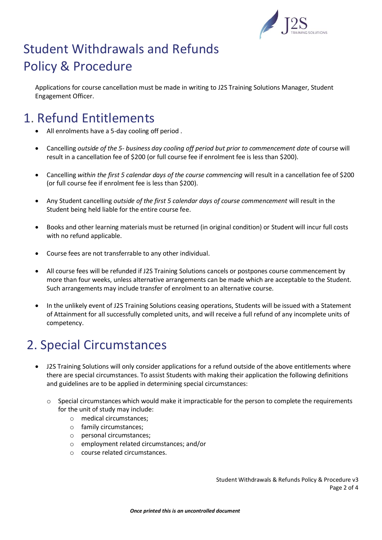

Applications for course cancellation must be made in writing to J2S Training Solutions Manager, Student Engagement Officer.

### 1. Refund Entitlements

- All enrolments have a 5-day cooling off period .
- Cancelling *outside of the 5- business day cooling off period but prior to commencement date* of course will result in a cancellation fee of \$200 (or full course fee if enrolment fee is less than \$200).
- Cancelling *within the first 5 calendar days of the course commencing* will result in a cancellation fee of \$200 (or full course fee if enrolment fee is less than \$200).
- Any Student cancelling *outside of the first 5 calendar days of course commencement* will result in the Student being held liable for the entire course fee.
- Books and other learning materials must be returned (in original condition) or Student will incur full costs with no refund applicable.
- Course fees are not transferrable to any other individual.
- All course fees will be refunded if J2S Training Solutions cancels or postpones course commencement by more than four weeks, unless alternative arrangements can be made which are acceptable to the Student. Such arrangements may include transfer of enrolment to an alternative course.
- In the unlikely event of J2S Training Solutions ceasing operations, Students will be issued with a Statement of Attainment for all successfully completed units, and will receive a full refund of any incomplete units of competency.

### 2. Special Circumstances

- J2S Training Solutions will only consider applications for a refund outside of the above entitlements where there are special circumstances. To assist Students with making their application the following definitions and guidelines are to be applied in determining special circumstances:
	- $\circ$  Special circumstances which would make it impracticable for the person to complete the requirements for the unit of study may include:
		- o medical circumstances;
		- o family circumstances;
		- o personal circumstances;
		- o employment related circumstances; and/or
		- o course related circumstances.

Student Withdrawals & Refunds Policy & Procedure v3 Page 2 of 4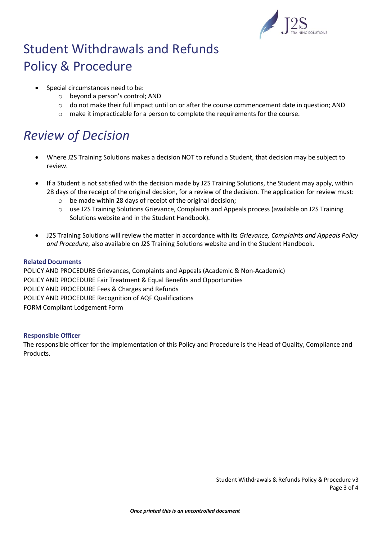

- Special circumstances need to be:
	- o beyond a person's control; AND
	- o do not make their full impact until on or after the course commencement date in question; AND
	- $\circ$  make it impracticable for a person to complete the requirements for the course.

## *Review of Decision*

- Where J2S Training Solutions makes a decision NOT to refund a Student, that decision may be subject to review.
- If a Student is not satisfied with the decision made by J2S Training Solutions, the Student may apply, within 28 days of the receipt of the original decision, for a review of the decision. The application for review must:
	- o be made within 28 days of receipt of the original decision;
	- o use J2S Training Solutions Grievance, Complaints and Appeals process (available on J2S Training Solutions website and in the Student Handbook).
- J2S Training Solutions will review the matter in accordance with its *Grievance, Complaints and Appeals Policy and Procedure*, also available on J2S Training Solutions website and in the Student Handbook.

#### **Related Documents**

POLICY AND PROCEDURE Grievances, Complaints and Appeals (Academic & Non-Academic) POLICY AND PROCEDURE Fair Treatment & Equal Benefits and Opportunities POLICY AND PROCEDURE Fees & Charges and Refunds POLICY AND PROCEDURE Recognition of AQF Qualifications FORM Compliant Lodgement Form

#### **Responsible Officer**

The responsible officer for the implementation of this Policy and Procedure is the Head of Quality, Compliance and Products.